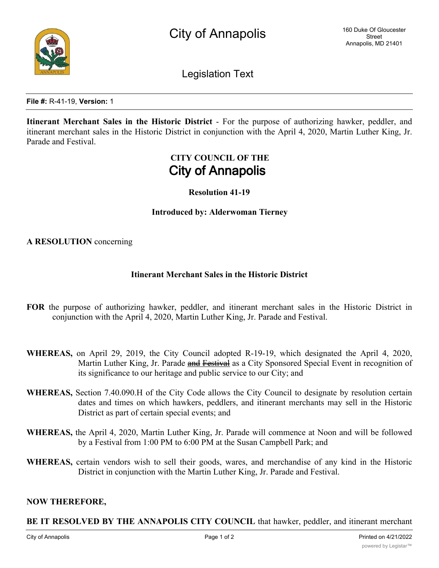

Legislation Text

**File #:** R-41-19, **Version:** 1

**Itinerant Merchant Sales in the Historic District** - For the purpose of authorizing hawker, peddler, and itinerant merchant sales in the Historic District in conjunction with the April 4, 2020, Martin Luther King, Jr. Parade and Festival.

# **CITY COUNCIL OF THE City of Annapolis**

## **Resolution 41-19**

**Introduced by: Alderwoman Tierney**

**A RESOLUTION** concerning

## **Itinerant Merchant Sales in the Historic District**

- **FOR** the purpose of authorizing hawker, peddler, and itinerant merchant sales in the Historic District in conjunction with the April 4, 2020, Martin Luther King, Jr. Parade and Festival.
- **WHEREAS,** on April 29, 2019, the City Council adopted R-19-19, which designated the April 4, 2020, Martin Luther King, Jr. Parade and Festival as a City Sponsored Special Event in recognition of its significance to our heritage and public service to our City; and
- **WHEREAS,** Section 7.40.090.H of the City Code allows the City Council to designate by resolution certain dates and times on which hawkers, peddlers, and itinerant merchants may sell in the Historic District as part of certain special events; and
- **WHEREAS,** the April 4, 2020, Martin Luther King, Jr. Parade will commence at Noon and will be followed by a Festival from 1:00 PM to 6:00 PM at the Susan Campbell Park; and
- **WHEREAS,** certain vendors wish to sell their goods, wares, and merchandise of any kind in the Historic District in conjunction with the Martin Luther King, Jr. Parade and Festival.

## **NOW THEREFORE,**

## **BE IT RESOLVED BY THE ANNAPOLIS CITY COUNCIL** that hawker, peddler, and itinerant merchant